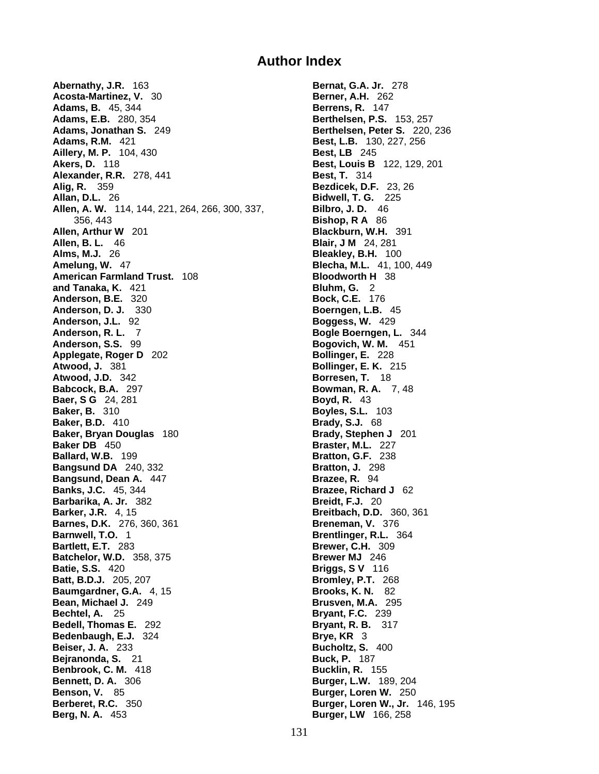## **Author Index**

**Abernathy, J.R.** 163 **Bernat, G.A. Jr.** 278 **Acosta-Martinez, V. 30 <b>Berner, A.H.** 262 **Adams, B.** 45, 344 **Berrens, R.** 147 **Adams, E.B.** 280, 354 **Berthelsen, P.S.** 153, 257 **Adams, Jonathan S.** 249 **Berthelsen, Peter S.** 220, 236 **Adams, R.M.** 421 **Best, L.B.** 130, 227, 256 **Aillery, M. P.** 104, 430 **Best, LB** 245 **Akers, D.** 118 **Best, Louis B** 122, 129, 201 **Alexander, R.R.** 278, 441 **Best, T.** 314 **Alig, R.** 359 **Bezdicek, D.F.** 23, 26 **Allan, D.L.** 26 **Bidwell, T. G.** 225 **Allen, A. W.** 114, 144, 221, 264, 266, 300, 337, **Bilbro, J. D.** 46 356, 443 **Bishop, R A** 86 **Allen, Arthur W** 201 **Blackburn, W.H.** 391 **Allen, B. L.** 46 **Blair, J M** 24, 281 **Alms, M.J.** 26 **Bleakley, B.H.** 100 **Amelung, W.** 47 **Blecha, M.L.** 41, 100, 449 **American Farmland Trust.** 108 **Bloodworth H** 38 **and Tanaka, K.** 421 **Bluhm, G.** 2 **Anderson, B.E.** 320 **Bock, C.E.** 176 **Anderson, D. J.** 330 **Boerngen, L.B.** 45 **Anderson, J.L.** 92 **Boggess, W.** 429 **Anderson, R. L. 7 <b>Bogle Boerngen, L.** 344 **Anderson, S.S.** 99 **Bogovich, W. M.** 451 **Applegate, Roger D** 202 **Bollinger, E.** 228 **Atwood, J.** 381 **Bollinger, E. K.** 215 **Atwood, J.D.** 342 **Borresen, T.** 18 **Babcock, B.A.** 297 **Bowman, R. A.** 7, 48 **Baer, S G** 24, 281 **Boyd, R.** 43 **Baker, B.** 310 **Boyles, S.L.** 103 **Baker, B.D.** 410 **Brady, S.J.** 68 **Baker, Bryan Douglas** 180 **Brady, Stephen J** 201 **Baker DB** 450 **Braster, M.L.** 227 **Ballard, W.B.** 199 **Bratton, G.F.** 238 **Bangsund DA** 240, 332 **Bratton, J.** 298 **Bangsund, Dean A.** 447 **Brazee, R.** 94 **Banks, J.C.** 45, 344 **Brazee, Richard J** 62 **Barbarika, A. Jr.** 382 **Breidt, F.J.** 20 **Barker, J.R.** 4, 15 **Breitbach, D.D.** 360, 361 **Barnes, D.K.** 276, 360, 361 **Breneman, V.** 376 **Barnwell, T.O.** 1 **Brentlinger, R.L.** 364 **Bartlett, E.T.** 283 **Brewer, C.H.** 309 **Batchelor, W.D.** 358, 375 **Brewer MJ** 246 **Batie, S.S.** 420 **Briggs, S V** 116 **Batt, B.D.J.** 205, 207 **Bromley, P.T.** 268 **Baumgardner, G.A.** 4, 15 **Brooks, K. N.** 82 **Bean, Michael J.** 249 **Brusven, M.A.** 295 **Bechtel, A.** 25 **Bryant, F.C.** 239 **Bedell, Thomas E.** 292 **Bryant, R. B.** 317 **Bedenbaugh, E.J.** 324 **Brye, KR** 3 **Beiser, J. A.** 233 **Bucholtz, S.** 400 **Bejranonda, S.** 21 **Buck, P.** 187 **Benbrook, C. M.** 418 **Bucklin, R.** 155 **Bennett, D. A.** 306 **Burger, L.W.** 189, 204 **Benson, V.** 85 **Burger, Loren W.** 250 **Berberet, R.C.** 350 **Burger, Loren W., Jr.** 146, 195 **Berg, N. A.** 453 **Burger, LW** 166, 258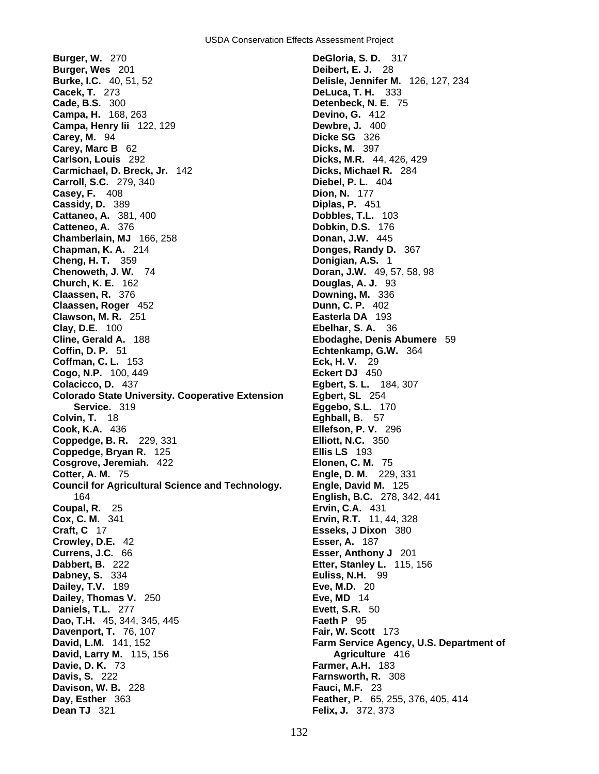**Burger, W.** 270 **DeGloria, S. D.** 317 **Burger, Wes** 201 **Deibert, E. J.** 28 **Burke, I.C.** 40, 51, 52 **Delisle, Jennifer M.** 126, 127, 234 **Cacek, T.** 273 **DeLuca, T. H.** 333 **Cade, B.S.** 300 **Detenbeck, N. E.** 75 **Campa, H.** 168, 263 **Campa, Henry Iii** 122, 129 **Dewbre, J.** 400 **Carey, M.** 94 **Dicke SG** 326 **Carey, Marc B** 62 **Dicks, M.** 397 **Carlson, Louis** 292 **Dicks, M.R.** 44, 426, 429 **Carmichael, D. Breck, Jr.** 142 **Dicks, Michael R.** 284 **Carroll, S.C.** 279, 340 **Diebel, P. L.** 404 **Casey, F.** 408 **Dion, N.** 177 **Cassidy, D.** 389 **Diplas, P.** 451 **Cattaneo, A.** 381, 400 **Dobbles, T.L.** 103<br> **Catteneo, A.** 376 **Dobbles, T.C.** 176 **Chamberlain, MJ** 166, 258 **Donan, J.W.** 445 **Chapman, K. A.** 214 **Donges, Randy D.** 367 **Cheng, H. T.** 359 **Donigian, A.S.** 1 **Chenoweth, J. W.** 74 **Doran, J.W.** 49, 57, 58, 98 **Church, K. E.** 162 **Douglas, A. J.** 93 **Claassen, R.** 376 **Downing, M.** 336 **Claassen, Roger** 452 **Dunn, C. P.** 402 **Clawson, M. R.** 251 **Easterla DA** 193 **Clay, D.E.** 100 **Ebelhar, S. A.** 36 **Cline, Gerald A.** 188 **Ebodaghe, Denis Abumere** 59 **Coffman, C. L. 153 Cogo, N.P.** 100, 449 **Eckert DJ** 450 **Colacicco, D.** 437 **Egbert, S. L.** 184, 307 **Colorado State University. Cooperative Extension Egbert, SL** 254 **Service.** 319 **Eggebo, S.L.** 170 **Colvin, T.** 18 **Eghball, B.** 57 **Cook, K.A.** 436 **Ellefson, P. V.** 296 **Coppedge, B. R.** 229, 331 **Elliott, N.C.** 350 **Coppedge, Bryan R.** 125 **Ellis LS** 193 **Cosgrove, Jeremiah.** 422 **Elonen, C. M.** 75 **Cotter, A. M.** 75 **Engle, D. M.** 229, 331 **Council for Agricultural Science and Technology.** 164 **English, B.C.** 278, 342, 441 **Coupal, R.** 25 **Ervin, C.A.** 431 **Cox, C. M.** 341 **Ervin, R.T.** 11, 44, 328 **Craft, C** 17 **Esseks, J Dixon** 380 **Crowley, D.E.** 42 **Esser, A.** 187 **Currens, J.C.** 66 **Esser, Anthony J** 201 **Dabbert, B.** 222 **Etter, Stanley L.** 115, 156 **Dabney, S.** 334 **Euliss, N.H.** 99 **Dailey, T.V.** 189 **Eve, M.D.** 20 **Dailey, Thomas V.** 250 **Eve, MD** 14 **Daniels, T.L.** 277 **Evett, S.R.** 50 **Dao, T.H.** 45, 344, 345, 445 **Faeth P** 95 **Davenport, T.** 76, 107 **Fair, W. Scott** 173 **David, L.M.** 141, 152 **Farm Service Agency, U.S. Department of David, Larry M.** 115, 156 **Agriculture** 416 **Davie, D. K.** 73 **Farmer, A.H.** 183 **Davis, S.** 222 **Farnsworth, R.** 308 **Davison, W. B. 228 Day, Esther** 363 **Feather, P.** 65, 255, 376, 405, 414 **Dean TJ** 321 **Felix, J.** 372, 373

**Dobkin, D.S.** 176 **Echtenkamp, G.W.** 364<br>**Eck, H. V.** 29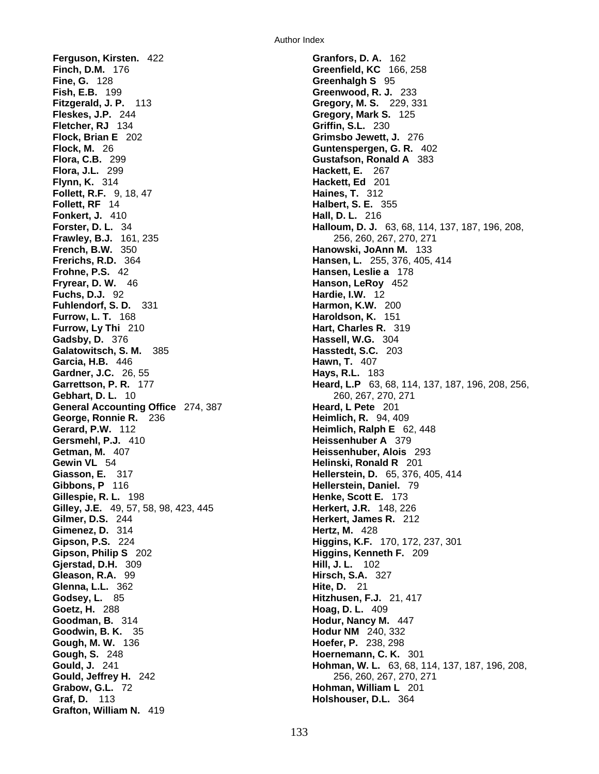**Ferguson, Kirsten.** 422 **Granfors, D. A.** 162 **Finch, D.M.** 176 **Greenfield, KC** 166, 258 **Fine, G.** 128 **Greenhalgh S** 95 **Fish, E.B.** 199 **Greenhalgh S** 95 **Greenwood, R. J. Fitzgerald, J. P.** 113 **Gregory, M. S.** 229, 331 **Fleskes, J.P.** 244 **Gregory, Mark S.** 125 **Fletcher, RJ** 134 **Griffin, S.L.** 230 **Flock, Brian E** 202 **Grimsbo Jewett, J.** 276 **Flock, M.** 26 **Guntenspergen, G. R.** 402 **Flora, C.B.** 299 **Gustafson, Ronald A** 383 **Flora, J.L.** 299 **Hackett, E.** 267 **Flynn, K.** 314 **Hackett, Ed** 201 **Follett, R.F.** 9, 18, 47 **Haines, T.** 312 **Follett, RF** 14 **Halbert, S. E.** 355 **Fonkert, J. 410 Frawley, B.J.** 161, 235 **256, 260, 267, 270, 271 French, B.W.** 350 **Hanowski, JoAnn M.** 133 **Frerichs, R.D.** 364 **Hansen, L.** 255, 376, 405, 414 **Frohne, P.S.** 42 **Hansen, Leslie a** 178 **Fryrear, D. W.** 46 **Hanson, LeRoy** 452 **Fuchs, D.J.** 92 **Hardie, I.W.** 12 **Fuhlendorf, S. D. 331 <b>Harmon, K.W.** 200 **Furrow, L. T.** 168 **Haroldson, K.** 151 **Furrow, Ly Thi** 210 **Hart, Charles R.** 319 **Gadsby, D.** 376 **Hassell, W.G.** 304 **Galatowitsch, S. M.** 385 **Hasstedt, S.C.** 203 **Garcia, H.B.** 446 **Hawn, T.** 407 **Gardner, J.C.** 26, 55 **Hays, R.L.** 183 **Gebhart, D. L.** 10 260, 267, 270, 271 **General Accounting Office** 274, 387 **Heard, L Pete** 201 **George, Ronnie R.** 236 **Heimlich, R.** 94, 409 **Gerard, P.W.** 112 **Heimlich, Ralph E** 62, 448 **Gersmehl, P.J.** 410 **Heissenhuber A** 379 **Getman, M.** 407 **Heissenhuber, Alois** 293 **Gewin VL** 54 **Helinski, Ronald R** 201 **Giasson, E.** 317 **Helinski, Ronald R 201 Helinski, Ronald R 201 Gibbons, P** 116 **Hellerstein, Daniel.** 79 **Gillespie, R. L.** 198 **Henke, Scott E.** 173 **Gilley, J.E.** 49, 57, 58, 98, 423, 445 **Herkert, J.R.** 148, 226 **Gilmer, D.S.** 244 **Herkert, James R.** 212 **Gimenez, D.** 314 **Hertz, M.** 428 **Gipson, P.S.** 224 **Higgins, K.F.** 170, 172, 237, 301 **Gipson, Philip S** 202 **Higgins, Kenneth F.** 209 **Gjerstad, D.H.** 309 **Hill, J. L.** 102 **Gleason, R.A.** 99 **Hirsch, S.A.** 327 **Glenna, L.L.** 362 **Hite, D.** 21 **Godsey, L.** 85 **Hitzhusen, F.J.** 21, 417 **Goetz, H.** 288 **Hoag, D. L.** 409 **Goodman, B.** 314 **Hodur, Nancy M.** 447 **Goodwin, B. K.** 35 **Hodur NM** 240, 332 **Gough, M. W.** 136 **Hoefer, P.** 238, 298 **Gough, S.** 248 **Hoernemann, C. K.** 301 **Gould, Jeffrey H.** 242 256, 260, 267, 270, 271 **Grabow, G.L.** 72 **Hohman, William L** 201 **Graf, D.** 113 **Holshouser, D.L.** 364 **Grafton, William N.** 419

**Greenwood, R. J.** 233 **Forster, D. L.** 34 **Halloum, D. J.** 63, 68, 114, 137, 187, 196, 208, **Garrettson, P. R.** 177 **Heard, L.P** 63, 68, 114, 137, 187, 196, 208, 256, **Giasson, E.** 317 **Hellerstein, D.** 65, 376, 405, 414 **Herkert, James R. 212 Gould, J.** 241 **Hohman, W. L.** 63, 68, 114, 137, 187, 196, 208,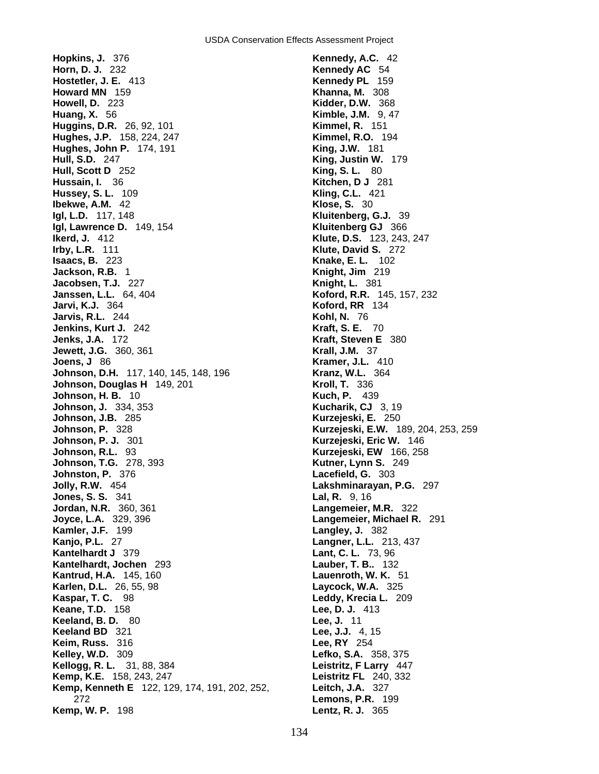**Hopkins, J.** 376 **Kennedy, A.C.** 42 **Horn, D. J.** 232 **Kennedy AC** 54 **Hostetler, J. E.** 413 **Kennedy PL** 159 **Howard MN** 159 **Khanna, M.** 308 **Howell, D.** 223 **Kidder, D.W.** 368 **Huang, X.** 56 **Kimble, J.M.** 9, 47 **Huggins, D.R.** 26, 92, 101 **Kimmel, R.** 151 **Hughes, J.P.** 158, 224, 247 **Kimmel, R.O.** 194 **Hughes, John P.** 174, 191 **King, J.W.** 181 **Hull, S.D.** 247 **King, Justin W.** 179 **Hull, Scott D** 252 **King, S. L.** 80 **Hussain, I.** 36 **Kitchen, D J** 281 **Hussey, S. L.** 109 **Kling, C.L.** 421 **Ibekwe, A.M.** 42 **Klose, S.** 30 **Igl, Lawrence D.** 149, 154 **Kluitenberg GJ** 366 **Ikerd, J.** 412 **Klute, D.S.** 123, 243, 247 **Irby, L.R.** 111 **Klute, David S.** 272 **Isaacs, B.** 223 **Knake, E. L.** 102 **Jackson, R.B.** 1 **Knight, Jim** 219 **Jacobsen, T.J.** 227 **Knight, L.** 381 **Janssen, L.L.** 64, 404 **Koford, R.R.** 145, 157, 232 **Jarvi, K.J.** 364 **Koford, RR** 134 **Jarvis, R.L.** 244 **Kohl, N.** 76 **Jenkins, Kurt J.** 242 **Kraft, S. E.** 70 **Jenks, J.A.** 172 **Kraft, Steven E** 380 **Jewett, J.G.** 360, 361 **Krall, J.M.** 37 **Joens, J** 86 **Kramer, J.L.** 410 **Johnson, D.H.** 117, 140, 145, 148, 196 **Kranz, W.L.** 364 **Johnson, Douglas H** 149, 201 **Kroll, T.** 336 **Johnson, H. B.** 10 **Kuch, P.** 439 **Johnson, J.** 334, 353 **Kucharik, CJ** 3, 19 **Johnson, J.B.** 285 **Kurzejeski, E.** 250 **Johnson, P.** 328 **Kurzejeski, E.W.** 189, 204, 253, 259 **Johnson, P. J.** 301 **Kurzejeski, Eric W.** 146 **Johnson, R.L.** 93 **Kurzejeski, EW** 166, 258 **Johnson, T.G.** 278, 393 **Kutner, Lynn S.** 249 **Johnston, P.** 376 **Lacefield, G.** 303 **Jolly, R.W.** 454 **Lakshminarayan, P.G.** 297 **Jones, S. S.** 341 **Lal, R.** 9, 16 **Jordan, N.R.** 360, 361 **Langemeier, M.R.** 322 **Joyce, L.A.** 329, 396 **Langemeier, Michael R.** 291 **Kamler, J.F.** 199 **Langley, J.** 382 **Kanjo, P.L.** 27 **Langner, L.L.** 213, 437 **Kantelhardt J** 379 **Lant, C. L.** 73, 96 **Kantelhardt, Jochen** 293 **Lauber, T. B..** 132 **Kantrud, H.A.** 145, 160 **Lauenroth, W. K.** 51 **Karlen, D.L.** 26, 55, 98 **Laycock, W.A.** 325 **Kaspar, T. C.** 98 **Leddy, Krecia L.** 209 **Keane, T.D.** 158 **Lee, D. J.** 413 **Keeland, B. D.** 80 **Lee, J.** 11 **Keeland BD** 321 **Lee, J.J.** 4, 15 **Keim, Russ.** 316 **Lee, RY** 254 **Kelley, W.D.** 309 **Lefko, S.A.** 358, 375 **Kellogg, R. L.** 31, 88, 384 **Leistritz, F Larry** 447 **Kemp, K.E.** 158, 243, 247 **Leistritz FL** 240, 332 **Kemp, Kenneth E** 122, 129, 174, 191, 202, 252, **Leitch, J.A.** 327 272 **Lemons, P.R.** 199 **Kemp, W. P.** 198 **Lentz, R. J.** 365

**Kluitenberg, G.J.** 39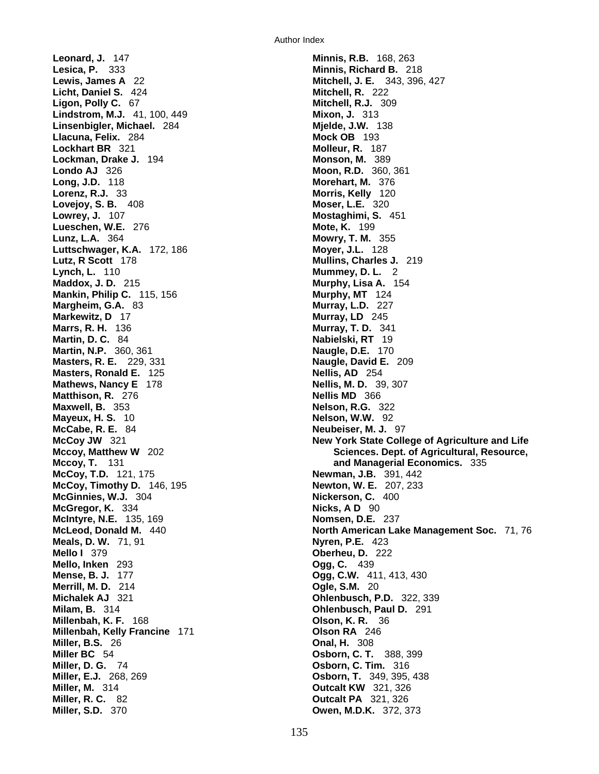**Leonard, J.** 147 **Minnis, R.B.** 168, 263 **Lesica, P.** 333 **Minnis, Richard B.** 218 **Lewis, James A** 22 **Mitchell, J. E.** 343, 396, 427 **Licht, Daniel S.** 424 **Mitchell, R.** 222 **Ligon, Polly C.** 67 **Mitchell, R.J.** 309 **Lindstrom, M.J.** 41, 100, 449 **Mixon, J.** 313 **Linsenbigler, Michael.** 284 **Mjelde, J.W.** 138 **Llacuna, Felix.** 284 **Mock OB** 193 **Lockhart BR** 321 **Molleur, R.** 187 **Lockman, Drake J.** 194 **Monson, M.** 389 **Londo AJ** 326 **Moon, R.D.** 360, 361 **Long, J.D.** 118 **Morehart, M.** 376 **Lorenz, R.J.** 33 **Morris, Kelly** 120 **Lovejoy, S. B.** 408 **Moser, L.E.** 320 **Lowrey, J.** 107 **Mostaghimi, S.** 451 **Lueschen, W.E.** 276 **Mote, K.** 199 **Lunz, L.A.** 364 **Mowry, T. M.** 355 **Luttschwager, K.A.** 172, 186 **Moyer, J.L.** 128 **Lutz, R Scott** 178 **Mullins, Charles J.** 219 **Lynch, L.** 110 **Mummey, D. L.** 2 **Maddox, J. D.** 215 **Murphy, Lisa A.** 154 **Mankin, Philip C.** 115, 156 **Multip 124 Murphy, MT** 124 **Margheim, G.A.** 83 **Murray, L.D.** 227 **Markewitz, D** 17 **Murray, LD** 245 **Marrs, R. H.** 136 **Murray, T. D.** 341 **Martin, D. C.** 84 **Nabielski, RT** 19 **Martin, N.P.** 360, 361 **Naugle, D.E.** 170 **Masters, R. E.** 229, 331 **Naugle, David E.** 209 **Masters, Ronald E.** 125 **Nellis, AD** 254 **Mathews, Nancy E** 178 **Nellis, M. D.** 39, 307 **Matthison, R.** 276 **Nellis MD** 366 **Maxwell, B.** 353 **Nelson, R.G.** 322 **Mayeux, H. S.** 10 **Nelson, W.W.** 92 **McCabe, R. E.** 84 **Neubeiser, M. J.** 97 **McCoy, T.D.** 121, 175 **Newman, J.B.** 391, 442 **McCoy, Timothy D.** 146, 195 **McCoy, Timothy D. 146, 195 McGinnies, W.J.** 304 **Nickerson, C.** 400 **McGregor, K.** 334 **Nicks, A D** 90 **McIntyre, N.E.** 135, 169 **Nomsen, D.E.** 237 **Meals, D. W.** 71, 91 **Nyren, P.E.** 423 **Mello I** 379 **Oberheu, D.** 222 **Mello, Inken** 293 **Ogg, C.** 439 **Mense, B. J.** 177 **Ogg, C.W.** 411, 413, 430 **Merrill, M. D.** 214 **Ogle, S.M.** 20 **Michalek AJ** 321 **Ohlenbusch, P.D.** 322, 339 **Milam, B.** 314 **Ohlenbusch, Paul D.** 291 **Millenbah, K. F.** 168 **Olson, K. R.** 36 **Millenbah, Kelly Francine** 171 **Olson RA** 246 **Miller, B.S.** 26 **Onal, H.** 308 **Miller BC** 54 **Osborn, C. T.** 388, 399 **Miller, D. G.** 74 **Osborn, C. Tim.** 316 **Miller, E.J.** 268, 269 **Osborn, T.** 349, 395, 438 **Miller, M.** 314 **Outcalt KW** 321, 326 **Miller, R. C.** 82 **Outcalt PA** 321, 326 **Miller, S.D.** 370 **Owen, M.D.K.** 372, 373

**McCoy JW** 321 **New York State College of Agriculture and Life Mccoy, Matthew W** 202 **Sciences. Dept. of Agricultural, Resource, Mccoy, T.** 131 **and Managerial Economics.** 335 **McLeod, Donald M.** 440 **North American Lake Management Soc.** 71, 76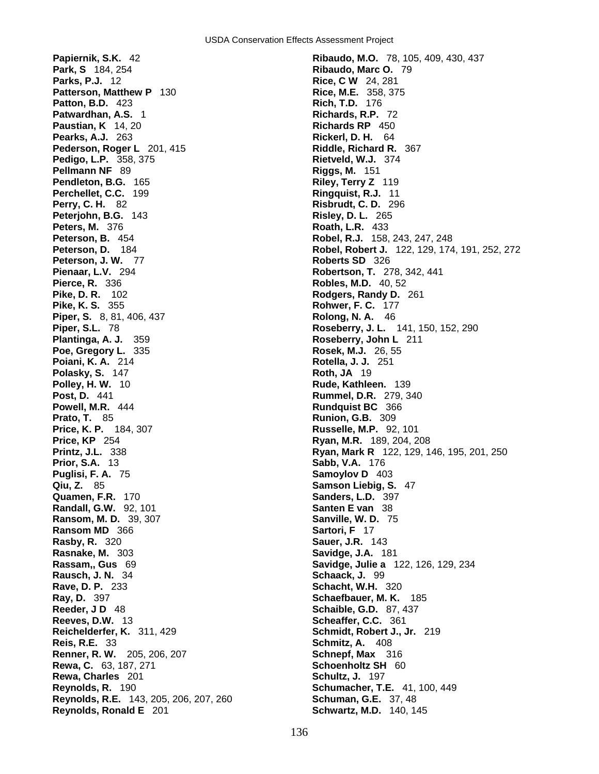**Park, S** 184, 254 **Ribaudo, Marc O.** 79 **Parks, P.J.** 12 **Rice, C W** 24, 281 **Patterson, Matthew P** 130 **Rice, M.E.** 358, 375 **Patterson, Matthew P 130 Patton, B.D.** 423 **Rich, T.D.** 176 **Patwardhan, A.S.** 1 **Richards, R.P.** 72 **Paustian, K** 14, 20 **Richards RP** 450 **Pearks, A.J.** 263 **Rickerl, D. H.** 64 **Pederson, Roger L** 201, 415 **Riddle, Richard R.** 367 **Pedigo, L.P.** 358, 375 **Rietveld, W.J.** 374 **Pellmann NF** 89 **Riggs, M.** 151 **Pendleton, B.G.** 165 **Riley, Terry Z** 119 **Perchellet, C.C.** 199 **Ringquist, R.J.** 11 **Perry, C. H.** 82 **Risbrudt, C. D.** 296 **Peterjohn, B.G.** 143 **Risley, D. L.** 265 **Peters, M.** 376 **Roath, L.R.** 433 **Peterson, B.** 454 **Robel, R.J.** 158, 243, 247, 248 **Peterson, J. W.** 77 **Roberts SD** 326 **Pienaar, L.V.** 294 **Robertson, T.** 278, 342, 441 **Pierce, R.** 336 **Robles, M.D.** 40, 52 **Pike, D. R.** 102 **Rodgers, Randy D.** 261 **Pike, K. S.** 355 **Rohwer, F. C.** 177 **Piper, S.** 8, 81, 406, 437 **Rolong, N. A.** 46 **Piper, S.L.** 78 **Roseberry, J. L.** 141, 150, 152, 290 **Plantinga, A. J.** 359 **Roseberry, John L** 211 **Poiani, K. A.** 214 **Rotella, J. J.** 251 **Polasky, S. 147 <b>Roth, JA 19 Polley, H. W.** 10 **Rude, Kathleen.** 139 **Post, D.** 441 **Rummel, D.R.** 279, 340 **Powell, M.R.** 444 **Rundquist BC** 366 **Prato, T.** 85 **Runion, G.B.** 309 **Price, K. P.** 184, 307 **Russelle, M.P.** 92, 101 **Price, KP** 254 **Ryan, M.R.** 189, 204, 208 **Prior, S.A.** 13 **Sabb, V.A.** 176 **Puglisi, F. A.** 75 **Samoylov D** 403 **Qiu. Z.** 85 **Samoylov D** 403 **Quamen, F.R.** 170 **Sanders, L.D.** 397 **Randall, G.W.** 92, 101 **Santen E van** 38 **Ransom, M. D.** 39, 307 **Sanville, W. D.** 75 **Ransom MD** 366 **Sartori, F** 17 **Rasby, R.** 320 **Sauer, J.R.** 143 **Rasnake, M.** 303 **Savidge, J.A.** 181 **Rassam,, Gus** 69 **Savidge, Julie a** 122, 126, 129, 234 **Rausch, J. N.** 34 **Schaack, J.** 99 **Rave, D. P.** 233 **Schacht, W.H.** 320 **Reeder, J D** 48 **Schaible, G.D.** 87, 437 **Reeves, D.W.** 13 **Scheaffer, C.C.** 361 **Reichelderfer, K.** 311, 429 **Schmidt, Robert J., Jr.** 219 **Reis, R.E.** 33 **Schmitz, A.** 408 **Renner, R. W.** 205, 206, 207 **Schnepf, Max** 316 **Rewa, C.** 63, 187, 271 **Schoenholtz SH** 60 **Rewa, Charles** 201 **Schultz, J. 197 Reynolds, R.** 190 **Schumacher, T.E.** 41, 100, 449 **Reynolds, R.E.** 143, 205, 206, 207, 260 **Schuman, G.E.** 37, 48 **Reynolds, Ronald E** 201 **Schwartz, M.D.** 140, 145

**Papiernik, S.K.** 42 **Ribaudo, M.O.** 78, 105, 409, 430, 437 **Peterson, D.** 184 **Robel, Robert J.** 122, 129, 174, 191, 252, 272 **Rosek, M.J.** 26, 55 **Printz, J.L.** 338 **Ryan, Mark R** 122, 129, 146, 195, 201, 250 **Samson Liebig, S. 47 Schaefbauer, M. K.** 185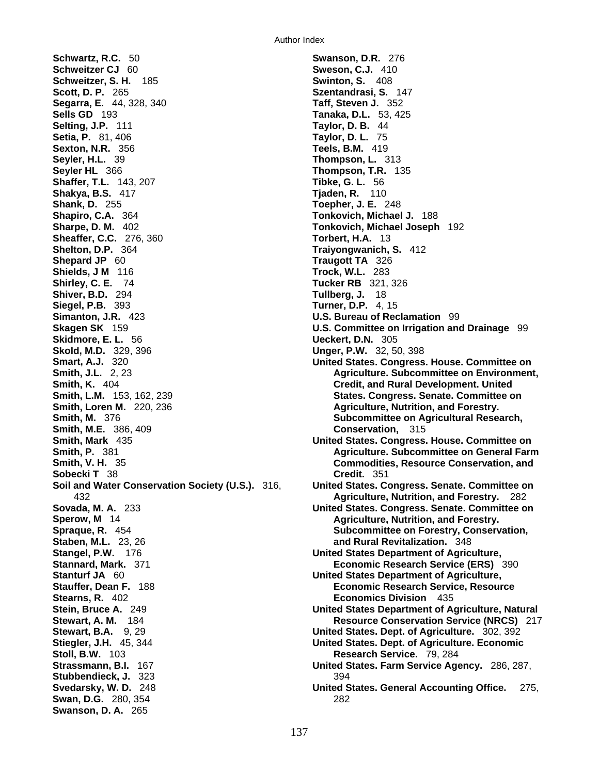**Schwartz, R.C.** 50 **Swanson, D.R.** 276 **Schweitzer CJ** 60 **Sweson, C.J.** 410 **Schweitzer, S. H.** 185 **Swinton, S.** 408 **Scott, D. P.** 265 **Szentandrasi, S.** 147 **Segarra, E.** 44, 328, 340 **Taff, Steven J.** 352 **Sells GD** 193 **Tanaka, D.L.** 53, 425 **Selting, J.P.** 111 **Taylor, D. B.** 44 **Setia, P.** 81, 406 **Taylor, D. L.** 75 **Sexton, N.R.** 356 **Teels, B.M.** 419 **Seyler HL** 366 **Thompson, T.R.** 135 **Shaffer, T.L.** 143, 207 **Thompson, T.R.** 135 **Shaffer, T.L.** 143, 207 **Shakya, B.S.** 417 **Tjaden, R.** 110 **Shank, D.** 255 **Toepher, J. E.** 248 **Shapiro, C.A.** 364 **Tonkovich, Michael J.** 188 **Sheaffer, C.C.** 276, 360 **Torbert, H.A.** 13 **Shelton, D.P.** 364 **Traiyongwanich, S.** 412 **Shepard JP** 60 **Traugott TA** 326 **Shields, J M** 116 **Trock, W.L.** 283 **Shiver, B.D.** 294 **Siegel, P.B.** 393 **Turner, D.P.** 4, 15 **Simanton, J.R.** 423 **U.S. Bureau of Reclamation** 99 **Skagen SK** 159 **U.S. Committee on Irrigation and Drainage** 99 **Skidmore, E. L.** 56 **Ueckert, D.N.** 305 **Skold, M.D.** 329, 396 **Unger, P.W.** 32, 50, 398 **Smith, K.** 404 **Credit, and Rural Development. United Smith, Loren M.** 220, 236 **Agriculture, Nutrition, and Forestry. Agriculture, Nutrition, and Forestry. Smith, M.** 376 **Subcommittee on Agricultural Research, Smith, M.E.** 386, 409 **Conservation,** 315 **Sobecki T** 38 **Credit.** 351 **Sperow, M** 14 **Agriculture, Nutrition, and Forestry. Agriculture, Nutrition, and Forestry. Spraque, R.** 454 **Subcommittee on Forestry, Conservation, Staben, M.L.** 23, 26 **and Rural Revitalization.** 348 **Stangel, P.W.** 176 **United States Department of Agriculture, Stannard, Mark.** 371 **Economic Research Service (ERS)** 390 **Stanturf JA** 60 **United States Department of Agriculture, Stauffer, Dean F.** 188 **Economic Research Service, Resource Stearns, R.** 402 **Economics Division** 435 **Stewart, B.A.** 9, 29 **United States. Dept. of Agriculture.** 302, 392 **Stiegler, J.H.** 45, 344 **United States. Dept. of Agriculture. Economic Stoll, B.W.** 103 **Research Service.** 79, 284 **Stubbendieck, J.** 323 394<br>**Svedarsky, W. D.** 248 **394 Swan, D.G.** 280, 354 282 **Swanson, D. A.** 265

**Thompson, L. 313 Sharpe, D. M.** 402 **Tonkovich, Michael Joseph** 192 **Tucker RB** 321, 326<br>**Tullberg, J.** 18 **United States. Congress. House. Committee on Smith, J.L.** 2, 23 **Agriculture. Subcommittee on Environment,**  $\overline{A}$ **States. Congress. Senate. Committee on Smith, Mark** 435 **United States. Congress. House. Committee on Smith, P.** 381 **Agriculture. Subcommittee on General Farm Agriculture. Subcommittee on General Farm Smith, V. H.** 35 **Commodities, Resource Conservation, and Soil and Water Conservation Society (U.S.).** 316, **United States. Congress. Senate. Committee on**  432 **Agriculture, Nutrition, and Forestry.** 282 **Sovada, M. A.** 233 **United States. Congress. Senate. Committee on Stein, Bruce A.** 249 **United States Department of Agriculture, Natural Stewart, A. M.** 184 **Resource Conservation Service (NRCS)** 217 **United States. Farm Service Agency.** 286, 287, **United States. General Accounting Office.** 275,